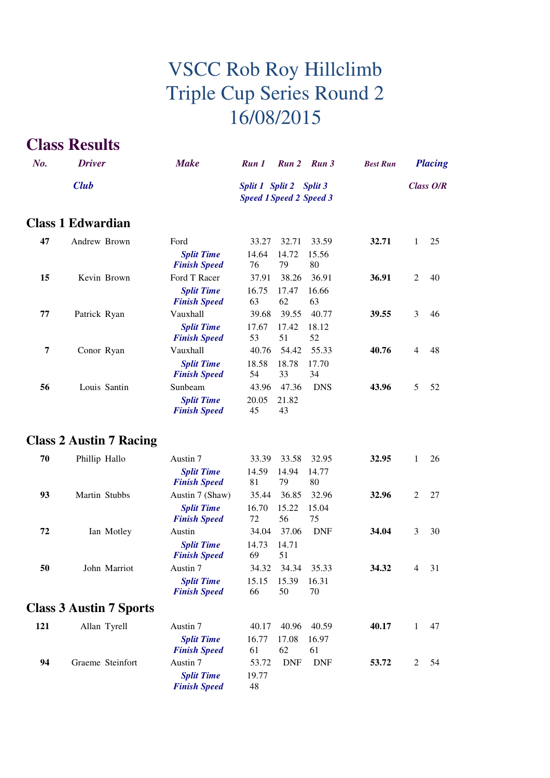### **Class Results**

| No. | <b>Driver</b>                  | <b>Make</b>                              | Run 1                                                     | Run 2       | Run 3       | <b>Best Run</b> |                | <b>Placing</b>   |
|-----|--------------------------------|------------------------------------------|-----------------------------------------------------------|-------------|-------------|-----------------|----------------|------------------|
|     | <b>Club</b>                    |                                          | Split 1 Split 2 Split 3<br><b>Speed 1 Speed 2 Speed 3</b> |             |             |                 |                | <b>Class O/R</b> |
|     | <b>Class 1 Edwardian</b>       |                                          |                                                           |             |             |                 |                |                  |
| 47  | Andrew Brown                   | Ford                                     | 33.27                                                     | 32.71       | 33.59       | 32.71           | $\mathbf{1}$   | 25               |
|     |                                | <b>Split Time</b><br><b>Finish Speed</b> | 14.64<br>76                                               | 14.72<br>79 | 15.56<br>80 |                 |                |                  |
| 15  | Kevin Brown                    | Ford T Racer                             | 37.91                                                     | 38.26       | 36.91       | 36.91           | 2              | 40               |
|     |                                | <b>Split Time</b><br><b>Finish Speed</b> | 16.75<br>63                                               | 17.47<br>62 | 16.66<br>63 |                 |                |                  |
| 77  | Patrick Ryan                   | Vauxhall                                 | 39.68                                                     | 39.55       | 40.77       | 39.55           | 3              | 46               |
|     |                                | <b>Split Time</b><br><b>Finish Speed</b> | 17.67<br>53                                               | 17.42<br>51 | 18.12<br>52 |                 |                |                  |
| 7   | Conor Ryan                     | Vauxhall                                 | 40.76                                                     | 54.42       | 55.33       | 40.76           | $\overline{4}$ | 48               |
|     |                                | <b>Split Time</b><br><b>Finish Speed</b> | 18.58<br>54                                               | 18.78<br>33 | 17.70<br>34 |                 |                |                  |
| 56  | Louis Santin                   | Sunbeam                                  | 43.96                                                     | 47.36       | <b>DNS</b>  | 43.96           | 5              | 52               |
|     |                                | <b>Split Time</b><br><b>Finish Speed</b> | 20.05<br>45                                               | 21.82<br>43 |             |                 |                |                  |
|     | <b>Class 2 Austin 7 Racing</b> |                                          |                                                           |             |             |                 |                |                  |
| 70  | Phillip Hallo                  | Austin 7                                 | 33.39                                                     | 33.58       | 32.95       | 32.95           | 1              | 26               |
|     |                                | <b>Split Time</b><br><b>Finish Speed</b> | 14.59<br>81                                               | 14.94<br>79 | 14.77<br>80 |                 |                |                  |
| 93  | Martin Stubbs                  | Austin 7 (Shaw)                          | 35.44                                                     | 36.85       | 32.96       | 32.96           | $\overline{2}$ | 27               |
|     |                                | <b>Split Time</b><br><b>Finish Speed</b> | 16.70<br>72                                               | 15.22<br>56 | 15.04<br>75 |                 |                |                  |
| 72  | Ian Motley                     | Austin                                   | 34.04                                                     | 37.06       | <b>DNF</b>  | 34.04           | 3              | 30               |
|     |                                | <b>Split Time</b><br><b>Finish Speed</b> | 14.73<br>69                                               | 14.71<br>51 |             |                 |                |                  |
| 50  | John Marriot                   | Austin 7                                 | 34.32                                                     | 34.34       | 35.33       | 34.32           | $\overline{4}$ | 31               |
|     |                                | <b>Split Time</b><br><b>Finish Speed</b> | 15.15<br>66                                               | 15.39<br>50 | 16.31<br>70 |                 |                |                  |
|     | <b>Class 3 Austin 7 Sports</b> |                                          |                                                           |             |             |                 |                |                  |
| 121 | Allan Tyrell                   | Austin 7                                 | 40.17                                                     | 40.96       | 40.59       | 40.17           | 1              | 47               |
|     |                                | <b>Split Time</b><br><b>Finish Speed</b> | 16.77<br>61                                               | 17.08<br>62 | 16.97<br>61 |                 |                |                  |
| 94  | Graeme Steinfort               | Austin 7                                 | 53.72                                                     | <b>DNF</b>  | DNF         | 53.72           | 2              | 54               |
|     |                                | <b>Split Time</b><br><b>Finish Speed</b> | 19.77<br>48                                               |             |             |                 |                |                  |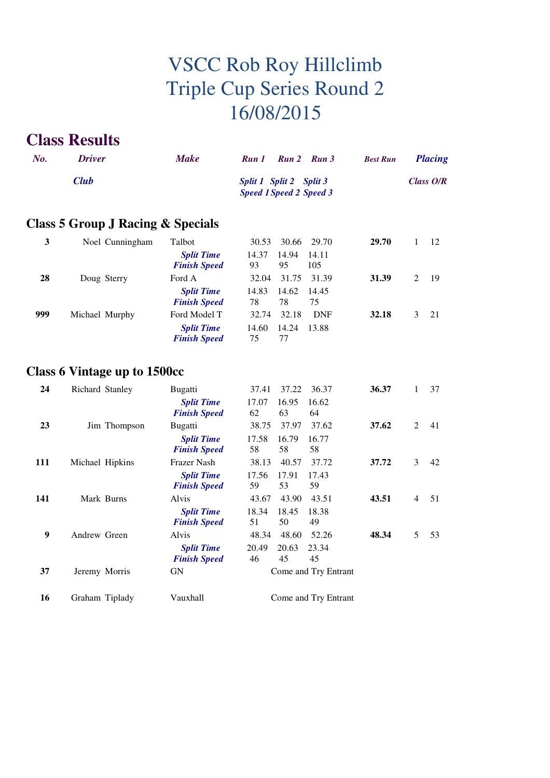### **Class Results**

| No.          | <b>Driver</b>                     | <b>Make</b>                              | Run 1       | Run 2                                                     | Run 3        | <b>Best Run</b> |                  | <b>Placing</b> |
|--------------|-----------------------------------|------------------------------------------|-------------|-----------------------------------------------------------|--------------|-----------------|------------------|----------------|
| <b>Club</b>  |                                   |                                          |             | Split 1 Split 2 Split 3<br><b>Speed 1 Speed 2 Speed 3</b> |              |                 | <b>Class O/R</b> |                |
|              | Class 5 Group J Racing & Specials |                                          |             |                                                           |              |                 |                  |                |
| $\mathbf{3}$ | Noel Cunningham                   | Talbot                                   | 30.53       | 30.66                                                     | 29.70        | 29.70           | 1                | 12             |
|              |                                   | <b>Split Time</b><br><b>Finish Speed</b> | 14.37<br>93 | 14.94<br>95                                               | 14.11<br>105 |                 |                  |                |
| 28           | Doug Sterry                       | Ford A                                   | 32.04       | 31.75                                                     | 31.39        | 31.39           | $\mathfrak{2}$   | 19             |
|              |                                   | <b>Split Time</b><br><b>Finish Speed</b> | 14.83<br>78 | 14.62<br>78                                               | 14.45<br>75  |                 |                  |                |
| 999          | Michael Murphy                    | Ford Model T                             | 32.74       | 32.18                                                     | <b>DNF</b>   | 32.18           | 3                | 21             |
|              |                                   | <b>Split Time</b><br><b>Finish Speed</b> | 14.60<br>75 | 14.24<br>77                                               | 13.88        |                 |                  |                |
|              | Class 6 Vintage up to 1500cc      |                                          |             |                                                           |              |                 |                  |                |
| 24           | Richard Stanley                   | <b>Bugatti</b>                           | 37.41       | 37.22                                                     | 36.37        | 36.37           | 1                | 37             |
|              |                                   | <b>Split Time</b><br><b>Finish Speed</b> | 17.07<br>62 | 16.95<br>63                                               | 16.62<br>64  |                 |                  |                |
| 23           | Jim Thompson                      | Bugatti                                  | 38.75       | 37.97                                                     | 37.62        | 37.62           | $\overline{2}$   | 41             |
|              |                                   | <b>Split Time</b><br><b>Finish Speed</b> | 17.58<br>58 | 16.79<br>58                                               | 16.77<br>58  |                 |                  |                |
| 111          | Michael Hipkins                   | Frazer Nash                              | 38.13       | 40.57                                                     | 37.72        | 37.72           | 3                | 42             |
|              |                                   | <b>Split Time</b><br><b>Finish Speed</b> | 17.56<br>59 | 17.91<br>53                                               | 17.43<br>59  |                 |                  |                |
| 141          | Mark Burns                        | Alvis                                    | 43.67       | 43.90                                                     | 43.51        | 43.51           | $\overline{4}$   | 51             |
|              |                                   | <b>Split Time</b><br><b>Finish Speed</b> | 18.34<br>51 | 18.45<br>50                                               | 18.38<br>49  |                 |                  |                |
| 9            | Andrew Green                      | Alvis                                    | 48.34       | 48.60                                                     | 52.26        | 48.34           | 5                | 53             |

|    |               | r misn opeea        | $\cdot$ , $\cdot$<br>JV. |  |  |  |  |
|----|---------------|---------------------|--------------------------|--|--|--|--|
| 9  | Andrew Green  | Alvis               | 48.60 52.26<br>48.34     |  |  |  |  |
|    |               | <b>Split Time</b>   | 20.49 20.63 23.34        |  |  |  |  |
|    |               | <b>Finish Speed</b> | 45<br>45<br>46           |  |  |  |  |
| 37 | Jeremy Morris | GN                  | Come and Try Entrant     |  |  |  |  |
|    |               |                     |                          |  |  |  |  |

16 Graham Tiplady Vauxhall Come and Try Entrant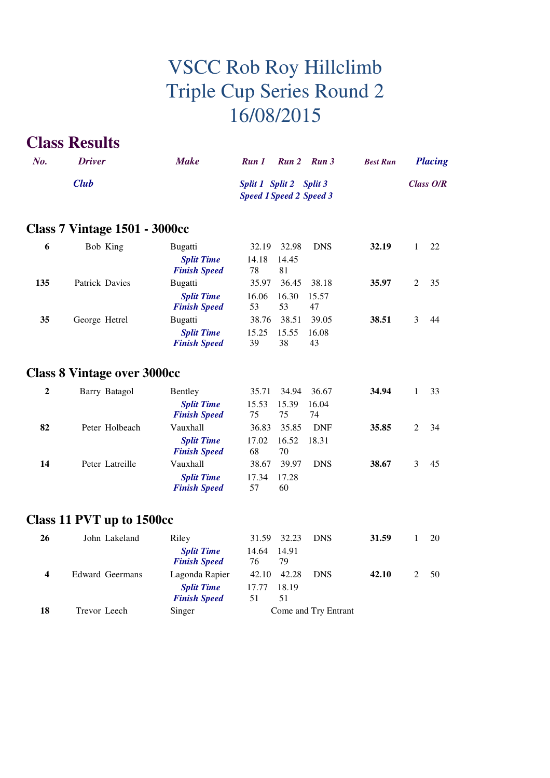### **Class Results**

| No.              | <b>Driver</b>                        | <b>Make</b>                              | Run 1                                                     | Run 2       | Run <sub>3</sub> | <b>Best Run</b> |              | <b>Placing</b> |  |
|------------------|--------------------------------------|------------------------------------------|-----------------------------------------------------------|-------------|------------------|-----------------|--------------|----------------|--|
|                  | <b>Club</b>                          |                                          | Split 1 Split 2 Split 3<br><b>Speed 1 Speed 2 Speed 3</b> |             |                  |                 | Class O/R    |                |  |
|                  | <b>Class 7 Vintage 1501 - 3000cc</b> |                                          |                                                           |             |                  |                 |              |                |  |
| 6                | Bob King                             | <b>Bugatti</b>                           | 32.19                                                     | 32.98       | <b>DNS</b>       | 32.19           | 1            | 22             |  |
|                  |                                      | <b>Split Time</b><br><b>Finish Speed</b> | 14.18<br>78                                               | 14.45<br>81 |                  |                 |              |                |  |
| 135              | Patrick Davies                       | Bugatti                                  | 35.97                                                     | 36.45       | 38.18            | 35.97           | 2            | 35             |  |
|                  |                                      | <b>Split Time</b><br><b>Finish Speed</b> | 16.06<br>53                                               | 16.30<br>53 | 15.57<br>47      |                 |              |                |  |
| 35               | George Hetrel                        | <b>Bugatti</b>                           | 38.76                                                     | 38.51       | 39.05            | 38.51           | 3            | 44             |  |
|                  |                                      | <b>Split Time</b><br><b>Finish Speed</b> | 15.25<br>39                                               | 15.55<br>38 | 16.08<br>43      |                 |              |                |  |
|                  | <b>Class 8 Vintage over 3000cc</b>   |                                          |                                                           |             |                  |                 |              |                |  |
| $\boldsymbol{2}$ | Barry Batagol                        | Bentley                                  | 35.71                                                     | 34.94       | 36.67            | 34.94           | 1            | 33             |  |
|                  |                                      | <b>Split Time</b><br><b>Finish Speed</b> | 15.53<br>75                                               | 15.39<br>75 | 16.04<br>74      |                 |              |                |  |
| 82               | Peter Holbeach                       | Vauxhall                                 | 36.83                                                     | 35.85       | <b>DNF</b>       | 35.85           | 2            | 34             |  |
|                  |                                      | <b>Split Time</b><br><b>Finish Speed</b> | 17.02<br>68                                               | 16.52<br>70 | 18.31            |                 |              |                |  |
| 14               | Peter Latreille                      | Vauxhall                                 | 38.67                                                     | 39.97       | <b>DNS</b>       | 38.67           | 3            | 45             |  |
|                  |                                      | <b>Split Time</b><br><b>Finish Speed</b> | 17.34<br>57                                               | 17.28<br>60 |                  |                 |              |                |  |
|                  | Class 11 PVT up to 1500cc            |                                          |                                                           |             |                  |                 |              |                |  |
| 26               | John Lakeland                        | Riley                                    |                                                           | 31.59 32.23 | <b>DNS</b>       | 31.59           | $\mathbf{1}$ | 20             |  |

| 26 | John Lakeland   | Riley                                    | 31.59                      | 32.23<br><b>DNS</b>  | 31.59 | 20 |
|----|-----------------|------------------------------------------|----------------------------|----------------------|-------|----|
|    |                 | <b>Split Time</b><br><b>Finish Speed</b> | 14.91<br>14.64<br>76<br>79 |                      |       |    |
| 4  | Edward Geermans | Lagonda Rapier                           | 42.10                      | 42.28<br><b>DNS</b>  | 42.10 | 50 |
|    |                 | <b>Split Time</b><br><b>Finish Speed</b> | 17.77<br>51<br>51          | 18.19                |       |    |
| 18 | Trevor Leech    | Singer                                   |                            | Come and Try Entrant |       |    |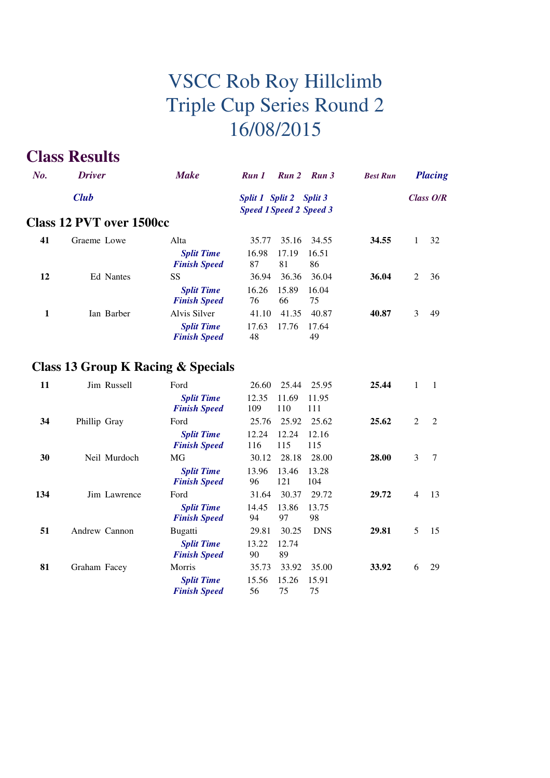### **Class Results**

| $N_{0}$ . | <b>Driver</b>                   | <b>Make</b>                              | Run 2 Run 3<br>Run 1<br><b>Best Run</b>                   | <b>Placing</b> |
|-----------|---------------------------------|------------------------------------------|-----------------------------------------------------------|----------------|
|           | <b>Club</b>                     |                                          | Split 1 Split 2 Split 3<br><b>Speed 1 Speed 2 Speed 3</b> | Class $O/R$    |
|           | <b>Class 12 PVT over 1500cc</b> |                                          |                                                           |                |
| 41        | Graeme Lowe                     | Alta                                     | 35.16<br>34.55<br>35.77<br>34.55                          | 32             |
|           |                                 | <b>Split Time</b><br><b>Finish Speed</b> | 16.98<br>17.19<br>16.51<br>87<br>81<br>86                 |                |
| 12        | Ed Nantes                       | SS                                       | 36.04<br>36.36<br>36.94<br>36.04                          | 36<br>2        |
|           |                                 | <b>Split Time</b><br><b>Finish Speed</b> | 15.89<br>16.26<br>16.04<br>76<br>66<br>75                 |                |
| 1         | Ian Barber                      | Alvis Silver                             | 41.35<br>40.87<br>40.87<br>41.10                          | 3<br>49        |
|           |                                 | <b>Split Time</b><br><b>Finish Speed</b> | 17.63<br>17.76<br>17.64<br>48<br>49                       |                |

### **Class 13 Group K Racing & Specials**

| 11  | Jim Russell   | Ford                                     | 26.60<br>25.44               | 25.44<br>25.95      | $\mathbf{1}$         |
|-----|---------------|------------------------------------------|------------------------------|---------------------|----------------------|
|     |               | <b>Split Time</b><br><b>Finish Speed</b> | 12.35<br>11.69<br>109<br>110 | 11.95<br>111        |                      |
| 34  | Phillip Gray  | Ford                                     | 25.92<br>25.76               | 25.62<br>25.62      | 2<br>2               |
|     |               | <b>Split Time</b><br><b>Finish Speed</b> | 12.24<br>12.24<br>115<br>116 | 12.16<br>115        |                      |
| 30  | Neil Murdoch  | MG                                       | 28.18<br>30.12               | 28.00<br>28.00      | 3<br>7               |
|     |               | <b>Split Time</b><br><b>Finish Speed</b> | 13.96<br>13.46<br>96<br>121  | 13.28<br>104        |                      |
| 134 | Jim Lawrence  | Ford                                     | 30.37<br>31.64               | 29.72<br>29.72      | $\overline{4}$<br>13 |
|     |               | <b>Split Time</b><br><b>Finish Speed</b> | 13.86<br>14.45<br>94<br>97   | 13.75<br>98         |                      |
| 51  | Andrew Cannon | Bugatti                                  | 30.25<br>29.81               | <b>DNS</b><br>29.81 | 5<br>15              |
|     |               | <b>Split Time</b><br><b>Finish Speed</b> | 13.22<br>12.74<br>90<br>89   |                     |                      |
| 81  | Graham Facey  | Morris                                   | 33.92<br>35.73               | 33.92<br>35.00      | 6<br>29              |
|     |               | <b>Split Time</b><br><b>Finish Speed</b> | 15.26<br>15.56<br>56<br>75   | 15.91<br>75         |                      |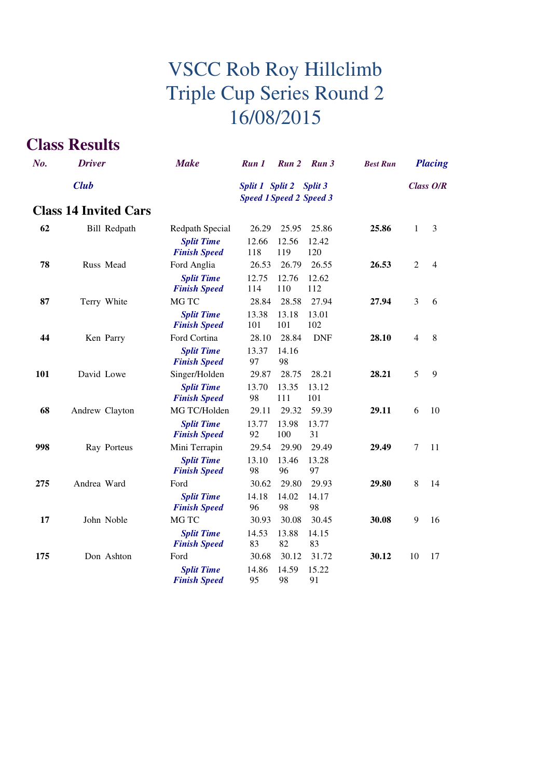### **Class Results**

| No. | <b>Driver</b>                | <b>Make</b>                              | Run 1                                                     | Run 2          | Run 3          | <b>Best Run</b> |                | <b>Placing</b> |
|-----|------------------------------|------------------------------------------|-----------------------------------------------------------|----------------|----------------|-----------------|----------------|----------------|
|     | <b>Club</b>                  |                                          | Split 1 Split 2 Split 3<br><b>Speed 1 Speed 2 Speed 3</b> |                |                |                 |                | Class O/R      |
|     | <b>Class 14 Invited Cars</b> |                                          |                                                           |                |                |                 |                |                |
| 62  | <b>Bill Redpath</b>          | Redpath Special<br><b>Split Time</b>     | 26.29<br>12.66                                            | 25.95<br>12.56 | 25.86<br>12.42 | 25.86           | 1              | 3              |
|     |                              | <b>Finish Speed</b>                      | 118                                                       | 119            | 120            |                 |                |                |
| 78  | Russ Mead                    | Ford Anglia                              | 26.53                                                     | 26.79          | 26.55          | 26.53           | $\overline{2}$ | $\overline{4}$ |
|     |                              | <b>Split Time</b><br><b>Finish Speed</b> | 12.75<br>114                                              | 12.76<br>110   | 12.62<br>112   |                 |                |                |
| 87  | Terry White                  | MG TC                                    | 28.84                                                     | 28.58          | 27.94          | 27.94           | 3              | 6              |
|     |                              | <b>Split Time</b><br><b>Finish Speed</b> | 13.38<br>101                                              | 13.18<br>101   | 13.01<br>102   |                 |                |                |
| 44  | Ken Parry                    | Ford Cortina                             | 28.10                                                     | 28.84          | <b>DNF</b>     | 28.10           | $\overline{4}$ | 8              |
|     |                              | <b>Split Time</b><br><b>Finish Speed</b> | 13.37<br>97                                               | 14.16<br>98    |                |                 |                |                |
| 101 | David Lowe                   | Singer/Holden                            | 29.87                                                     | 28.75          | 28.21          | 28.21           | 5              | 9              |
|     |                              | <b>Split Time</b><br><b>Finish Speed</b> | 13.70<br>98                                               | 13.35<br>111   | 13.12<br>101   |                 |                |                |
| 68  | Andrew Clayton               | MG TC/Holden                             | 29.11                                                     | 29.32          | 59.39          | 29.11           | 6              | 10             |
|     |                              | <b>Split Time</b><br><b>Finish Speed</b> | 13.77<br>92                                               | 13.98<br>100   | 13.77<br>31    |                 |                |                |
| 998 | Ray Porteus                  | Mini Terrapin                            | 29.54                                                     | 29.90          | 29.49          | 29.49           | $\tau$         | 11             |
|     |                              | <b>Split Time</b><br><b>Finish Speed</b> | 13.10<br>98                                               | 13.46<br>96    | 13.28<br>97    |                 |                |                |
| 275 | Andrea Ward                  | Ford                                     | 30.62                                                     | 29.80          | 29.93          | 29.80           | 8              | 14             |
|     |                              | <b>Split Time</b><br><b>Finish Speed</b> | 14.18<br>96                                               | 14.02<br>98    | 14.17<br>98    |                 |                |                |
| 17  | John Noble                   | MG TC                                    | 30.93                                                     | 30.08          | 30.45          | 30.08           | 9              | 16             |
|     |                              | <b>Split Time</b><br><b>Finish Speed</b> | 14.53<br>83                                               | 13.88<br>82    | 14.15<br>83    |                 |                |                |
| 175 | Don Ashton                   | Ford                                     | 30.68                                                     | 30.12          | 31.72          | 30.12           | 10             | 17             |
|     |                              | <b>Split Time</b><br><b>Finish Speed</b> | 14.86<br>95                                               | 14.59<br>98    | 15.22<br>91    |                 |                |                |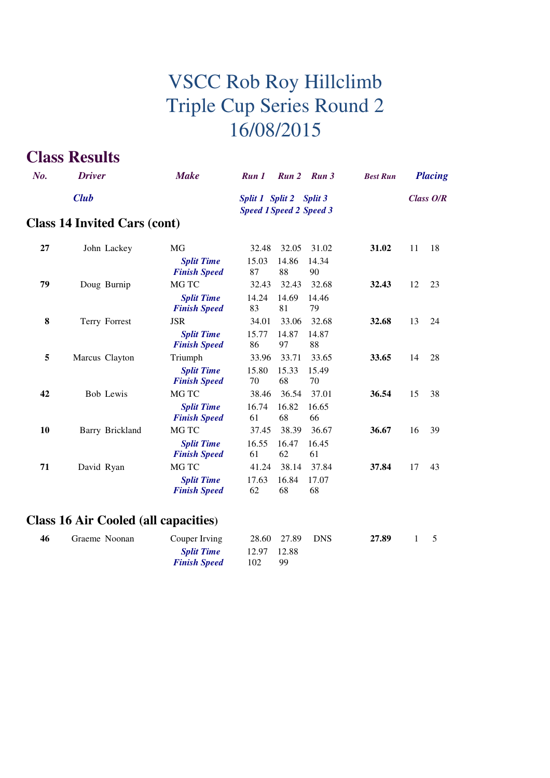### **Class Results**

| $N_{0}$ .   | <b>Driver</b>                       | <b>Make</b>                              | Run 1                                                     | <b>Run 2</b> | Run 3       | <b>Best Run</b> |    | <b>Placing</b> |
|-------------|-------------------------------------|------------------------------------------|-----------------------------------------------------------|--------------|-------------|-----------------|----|----------------|
| <b>Club</b> |                                     |                                          | Split 1 Split 2 Split 3<br><b>Speed 1 Speed 2 Speed 3</b> |              |             | Class O/R       |    |                |
|             | <b>Class 14 Invited Cars (cont)</b> |                                          |                                                           |              |             |                 |    |                |
| 27          | John Lackey                         | MG                                       | 32.48                                                     | 32.05        | 31.02       | 31.02           | 11 | 18             |
|             |                                     | <b>Split Time</b><br><b>Finish Speed</b> | 15.03<br>87                                               | 14.86<br>88  | 14.34<br>90 |                 |    |                |
| 79          | Doug Burnip                         | MG TC                                    | 32.43                                                     | 32.43        | 32.68       | 32.43           | 12 | 23             |
|             |                                     | <b>Split Time</b><br><b>Finish Speed</b> | 14.24<br>83                                               | 14.69<br>81  | 14.46<br>79 |                 |    |                |
| 8           | Terry Forrest                       | <b>JSR</b>                               | 34.01                                                     | 33.06        | 32.68       | 32.68           | 13 | 24             |
|             |                                     | <b>Split Time</b><br><b>Finish Speed</b> | 15.77<br>86                                               | 14.87<br>97  | 14.87<br>88 |                 |    |                |
| 5           | Marcus Clayton                      | Triumph                                  | 33.96                                                     | 33.71        | 33.65       | 33.65           | 14 | 28             |
|             |                                     | <b>Split Time</b><br><b>Finish Speed</b> | 15.80<br>70                                               | 15.33<br>68  | 15.49<br>70 |                 |    |                |
| 42          | <b>Bob Lewis</b>                    | MG TC                                    | 38.46                                                     | 36.54        | 37.01       | 36.54           | 15 | 38             |
|             |                                     | <b>Split Time</b><br><b>Finish Speed</b> | 16.74<br>61                                               | 16.82<br>68  | 16.65<br>66 |                 |    |                |
| 10          | Barry Brickland                     | MG TC                                    | 37.45                                                     | 38.39        | 36.67       | 36.67           | 16 | 39             |
|             |                                     | <b>Split Time</b><br><b>Finish Speed</b> | 16.55<br>61                                               | 16.47<br>62  | 16.45<br>61 |                 |    |                |
| 71          | David Ryan                          | MG TC                                    | 41.24                                                     | 38.14        | 37.84       | 37.84           | 17 | 43             |
|             |                                     | <b>Split Time</b><br><b>Finish Speed</b> | 17.63<br>62                                               | 16.84<br>68  | 17.07<br>68 |                 |    |                |
|             |                                     |                                          |                                                           |              |             |                 |    |                |

#### **Class 16 Air Cooled (all capacities)**

| 46 | Graeme Noonan | Couper Irving       |             | 28.60 27.89 DNS | 27.89 | $\mathbf{1}$ |  |
|----|---------------|---------------------|-------------|-----------------|-------|--------------|--|
|    |               | <b>Split Time</b>   | 12.97 12.88 |                 |       |              |  |
|    |               | <b>Finish Speed</b> | 102         | -99             |       |              |  |